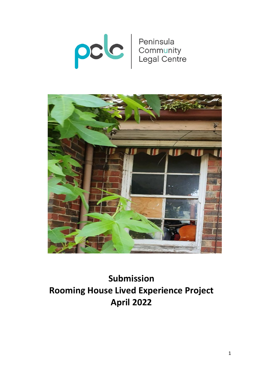



# **Submission Rooming House Lived Experience Project April 2022**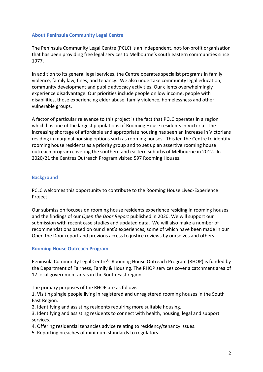## **About Peninsula Community Legal Centre**

The Peninsula Community Legal Centre (PCLC) is an independent, not-for-profit organisation that has been providing free legal services to Melbourne's south eastern communities since 1977.

In addition to its general legal services, the Centre operates specialist programs in family violence, family law, fines, and tenancy. We also undertake community legal education, community development and public advocacy activities. Our clients overwhelmingly experience disadvantage. Our priorities include people on low income, people with disabilities, those experiencing elder abuse, family violence, homelessness and other vulnerable groups.

A factor of particular relevance to this project is the fact that PCLC operates in a region which has one of the largest populations of Rooming House residents in Victoria. The increasing shortage of affordable and appropriate housing has seen an increase in Victorians residing in marginal housing options such as rooming houses. This led the Centre to identify rooming house residents as a priority group and to set up an assertive rooming house outreach program covering the southern and eastern suburbs of Melbourne in 2012. In 2020/21 the Centres Outreach Program visited 597 Rooming Houses.

## **Background**

PCLC welcomes this opportunity to contribute to the Rooming House Lived-Experience Project.

Our submission focuses on rooming house residents experience residing in rooming houses and the findings of our *Open the Door Report* published in 2020. We will support our submission with recent case studies and updated data. We will also make a number of recommendations based on our client's experiences, some of which have been made in our Open the Door report and previous access to justice reviews by ourselves and others.

## **Rooming House Outreach Program**

Peninsula Community Legal Centre's Rooming House Outreach Program (RHOP) is funded by the Department of Fairness, Family & Housing. The RHOP services cover a catchment area of 17 local government areas in the South East region.

The primary purposes of the RHOP are as follows:

1. Visiting single people living in registered and unregistered rooming houses in the South East Region.

2. Identifying and assisting residents requiring more suitable housing.

3. Identifying and assisting residents to connect with health, housing, legal and support services.

4. Offering residential tenancies advice relating to residency/tenancy issues.

5. Reporting breaches of minimum standards to regulators.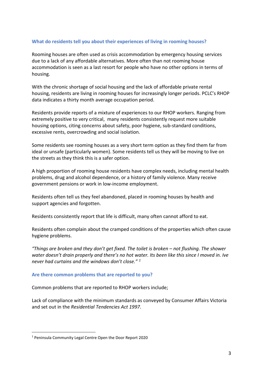## **What do residents tell you about their experiences of living in rooming houses?**

Rooming houses are often used as crisis accommodation by emergency housing services due to a lack of any affordable alternatives. More often than not rooming house accommodation is seen as a last resort for people who have no other options in terms of housing.

With the chronic shortage of social housing and the lack of affordable private rental housing, residents are living in rooming houses for increasingly longer periods. PCLC's RHOP data indicates a thirty month average occupation period.

Residents provide reports of a mixture of experiences to our RHOP workers. Ranging from extremely positive to very critical, many residents consistently request more suitable housing options, citing concerns about safety, poor hygiene, sub-standard conditions, excessive rents, overcrowding and social isolation.

Some residents see rooming houses as a very short term option as they find them far from ideal or unsafe (particularly women). Some residents tell us they will be moving to live on the streets as they think this is a safer option.

A high proportion of rooming house residents have complex needs, including mental health problems, drug and alcohol dependence, or a history of family violence. Many receive government pensions or work in low-income employment.

Residents often tell us they feel abandoned, placed in rooming houses by health and support agencies and forgotten.

Residents consistently report that life is difficult, many often cannot afford to eat.

Residents often complain about the cramped conditions of the properties which often cause hygiene problems.

*"Things are broken and they don't get fixed. The toilet is broken – not flushing. The shower water doesn't drain properly and there's no hot water. Its been like this since I moved in. Ive never had curtains and the windows don't close." [1](#page-2-0)*

## **Are there common problems that are reported to you?**

Common problems that are reported to RHOP workers include;

Lack of compliance with the minimum standards as conveyed by Consumer Affairs Victoria and set out in the *Residential Tendencies Act 1997*.

<span id="page-2-0"></span> <sup>1</sup> Peninsula Community Legal Centre Open the Door Report 2020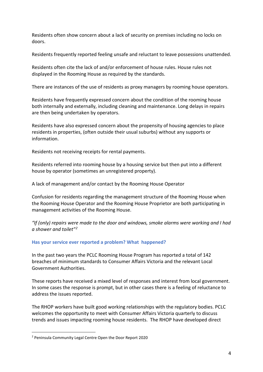Residents often show concern about a lack of security on premises including no locks on doors.

Residents frequently reported feeling unsafe and reluctant to leave possessions unattended.

Residents often cite the lack of and/or enforcement of house rules. House rules not displayed in the Rooming House as required by the standards.

There are instances of the use of residents as proxy managers by rooming house operators.

Residents have frequently expressed concern about the condition of the rooming house both internally and externally, including cleaning and maintenance. Long delays in repairs are then being undertaken by operators.

Residents have also expressed concern about the propensity of housing agencies to place residents in properties, (often outside their usual suburbs) without any supports or information.

Residents not receiving receipts for rental payments.

Residents referred into rooming house by a housing service but then put into a different house by operator (sometimes an unregistered property).

A lack of management and/or contact by the Rooming House Operator

Confusion for residents regarding the management structure of the Rooming House when the Rooming House Operator and the Rooming House Proprietor are both participating in management activities of the Rooming House.

*"If (only) repairs were made to the door and windows, smoke alarms were working and I had a shower and toilet"[2](#page-3-0)*

# **Has your service ever reported a problem? What happened?**

In the past two years the PCLC Rooming House Program has reported a total of 142 breaches of minimum standards to Consumer Affairs Victoria and the relevant Local Government Authorities.

These reports have received a mixed level of responses and interest from local government. In some cases the response is prompt, but in other cases there is a feeling of reluctance to address the issues reported.

The RHOP workers have built good working relationships with the regulatory bodies. PCLC welcomes the opportunity to meet with Consumer Affairs Victoria quarterly to discuss trends and issues impacting rooming house residents. The RHOP have developed direct

<span id="page-3-0"></span> <sup>2</sup> Peninsula Community Legal Centre Open the Door Report 2020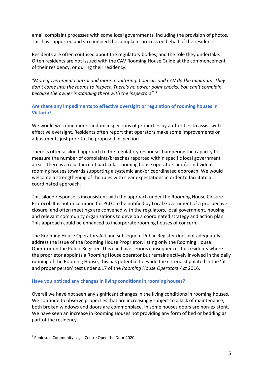email complaint processes with some local governments, including the provision of photos. This has supported and streamlined the complaint process on behalf of the residents.

Residents are often confused about the regulatory bodies, and the role they undertake. Often residents are not issued with the CAV Rooming House Guide at the commencement of their residency, or during their residency.

*"More government control and more monitoring. Councils and CAV do the minimum. They don't come into the rooms to inspect. There's no power point checks. You can't complain because the owner is standing there with the inspectors".[3](#page-4-0)*

# **Are there any impediments to effective oversight or regulation of rooming houses in Victoria?**

We would welcome more random inspections of properties by authorities to assist with effective oversight. Residents often report that operators make some improvements or adjustments just prior to the proposed inspection.

There is often a siloed approach to the regulatory response, hampering the capacity to measure the number of complaints/breaches reported within specific local government areas. There is a reluctance of particular rooming house operators and/or individual rooming houses towards supporting a systemic and/or coordinated approach. We would welcome a strengthening of the rules with clear expectations in order to facilitate a coordinated approach.

This siloed response is inconsistent with the approach under the Rooming House Closure Protocol. It is not uncommon for PCLC to be notified by Local Government of a prospective closure, and often meetings are convened with the regulators, local government, housing and relevant community organisations to develop a coordinated strategy and action plan. This approach could be enhanced to incorporate rooming houses of concern.

The Rooming House Operators Act and subsequent Public Register does not adequately address the issue of the Rooming House Proprietor, listing only the Rooming House Operator on the Public Register. This can have serious consequences for residents where the proprietor appoints a Rooming House operator but remains actively involved in the daily running of the Rooming House, this has potential to evade the criteria stipulated in the 'fit and proper person' test under s.17 of the *Rooming House Operators Act* 2016.

# **Have you noticed any changes in living conditions in rooming houses?**

Overall we have not seen any significant changes in the living conditions in rooming houses. We continue to observe properties that are increasingly subject to a lack of maintenance, both broken windows and doors are commonplace. In some houses doors are non-existent. We have seen an increase in Rooming Houses not providing any form of bed or bedding as part of the residency.

<span id="page-4-0"></span> <sup>3</sup> Peninsula Community Legal Centre Open the Door 2020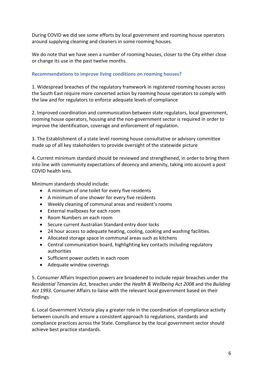During COVID we did see some efforts by local government and rooming house operators around supplying cleaning and cleaners in some rooming houses.

We do note that we have seen a number of rooming houses, closer to the City either close or change its use in the past twelve months.

# **Recommendations to improve living conditions on rooming houses?**

1. Widespread breaches of the regulatory framework in registered rooming houses across the South East require more concerted action by rooming house operators to comply with the law and for regulators to enforce adequate levels of compliance

2. Improved coordination and communication between state regulators, local government, rooming house operators, housing and the non-government sector is required in order to improve the identification, coverage and enforcement of regulation.

3. The Establishment of a state level rooming house consultative or advisory committee made up of all key stakeholders to provide oversight of the statewide picture

4. Current minimum standard should be reviewed and strengthened, in order to bring them into line with community expectations of decency and amenity, taking into account a post COVID health lens.

Minimum standards should include:

- A minimum of one toilet for every five residents
- A minimum of one shower for every five residents
- Weekly cleaning of communal areas and resident's rooms
- External mailboxes for each room
- Room Numbers on each room
- Secure current Australian Standard entry door locks
- 24 hour access to adequate heating, cooling, cooking and washing facilities.
- Allocated storage space in communal areas such as kitchens
- Central communication board, highlighting key contacts including regulatory authorities
- Sufficient power outlets in each room
- Adequate window coverings

5. Consumer Affairs Inspection powers are broadened to include repair breaches under the *Residential Tenancies Act*, breaches under the *Health & Wellbeing Act 2008* and the *Building Act 1993*. Consumer Affairs to liaise with the relevant local government based on their findings.

6. Local Government Victoria play a greater role in the coordination of compliance activity between councils and ensure a consistent approach to regulations, standards and compliance practices across the State. Compliance by the local government sector should achieve best practice standards.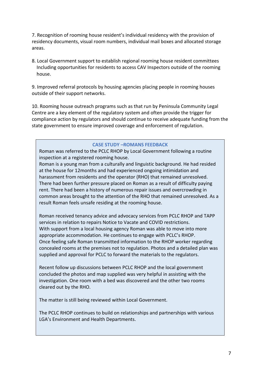7. Recognition of rooming house resident's individual residency with the provision of residency documents, visual room numbers, individual mail boxes and allocated storage areas.

8. Local Government support to establish regional rooming house resident committees Including opportunities for residents to access CAV Inspectors outside of the rooming house.

9. Improved referral protocols by housing agencies placing people in rooming houses outside of their support networks.

10. Rooming house outreach programs such as that run by Peninsula Community Legal Centre are a key element of the regulatory system and often provide the trigger for compliance action by regulators and should continue to receive adequate funding from the state government to ensure improved coverage and enforcement of regulation.

## **CASE STUDY –ROMANS FEEDBACK**

Roman was referred to the PCLC RHOP by Local Government following a routine inspection at a registered rooming house.

Roman is a young man from a culturally and linguistic background. He had resided at the house for 12months and had experienced ongoing intimidation and harassment from residents and the operator (RHO) that remained unresolved. There had been further pressure placed on Roman as a result of difficulty paying rent. There had been a history of numerous repair issues and overcrowding in common areas brought to the attention of the RHO that remained unresolved. As a result Roman feels unsafe residing at the rooming house.

Roman received tenancy advice and advocacy services from PCLC RHOP and TAPP services in relation to repairs Notice to Vacate and COVID restrictions. With support from a local housing agency Roman was able to move into more appropriate accommodation. He continues to engage with PCLC's RHOP. Once feeling safe Roman transmitted information to the RHOP worker regarding concealed rooms at the premises not to regulation. Photos and a detailed plan was supplied and approval for PCLC to forward the materials to the regulators.

Recent follow up discussions between PCLC RHOP and the local government concluded the photos and map supplied was very helpful in assisting with the investigation. One room with a bed was discovered and the other two rooms cleared out by the RHO.

The matter is still being reviewed within Local Government.

The PCLC RHOP continues to build on relationships and partnerships with various LGA's Environment and Health Departments.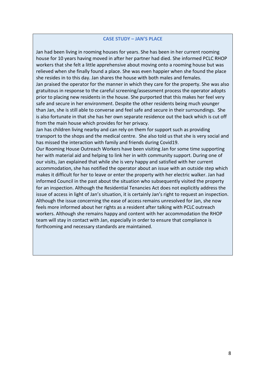#### **CASE STUDY – JAN'S PLACE**

Jan had been living in rooming houses for years. She has been in her current rooming house for 10 years having moved in after her partner had died. She informed PCLC RHOP workers that she felt a little apprehensive about moving onto a rooming house but was relieved when she finally found a place. She was even happier when she found the place she resides in to this day. Jan shares the house with both males and females.

Jan praised the operator for the manner in which they care for the property. She was also gratuitous in response to the careful screening/assessment process the operator adopts prior to placing new residents in the house. She purported that this makes her feel very safe and secure in her environment. Despite the other residents being much younger than Jan, she is still able to converse and feel safe and secure in their surroundings. She is also fortunate in that she has her own separate residence out the back which is cut off from the main house which provides for her privacy.

Jan has children living nearby and can rely on them for support such as providing transport to the shops and the medical centre. She also told us that she is very social and has missed the interaction with family and friends during Covid19.

Our Rooming House Outreach Workers have been visiting Jan for some time supporting her with material aid and helping to link her in with community support. During one of our visits, Jan explained that while she is very happy and satisfied with her current accommodation, she has notified the operator about an issue with an outside step which makes it difficult for her to leave or enter the property with her electric walker. Jan had informed Council in the past about the situation who subsequently visited the property for an inspection. Although the Residential Tenancies Act does not explicitly address the issue of access in light of Jan's situation, it is certainly Jan's right to request an inspection. Although the issue concerning the ease of access remains unresolved for Jan, she now feels more informed about her rights as a resident after talking with PCLC outreach workers. Although she remains happy and content with her accommodation the RHOP team will stay in contact with Jan, especially in order to ensure that compliance is forthcoming and necessary standards are maintained.